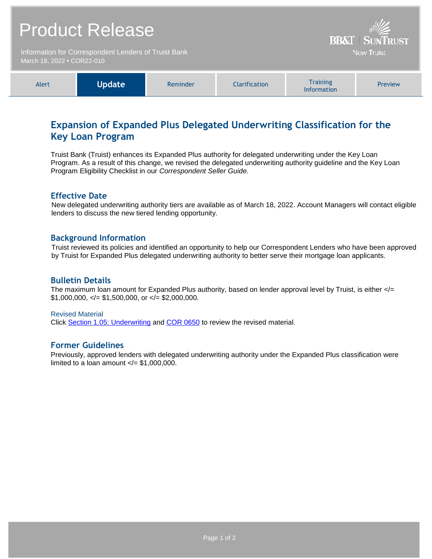| <b>Product Release</b>                                                             |               |          |                      | <b>BB&amp;T   SUNTRUST</b><br><b>Now Truist</b>                                                                                       |         |
|------------------------------------------------------------------------------------|---------------|----------|----------------------|---------------------------------------------------------------------------------------------------------------------------------------|---------|
| Information for Correspondent Lenders of Truist Bank<br>March 18, 2022 • COR22-010 |               |          |                      |                                                                                                                                       |         |
|                                                                                    |               |          |                      |                                                                                                                                       |         |
| Alert                                                                              | <b>Update</b> | Reminder | <b>Clarification</b> | <b>Training</b><br>$\mathbf{1}$ and $\mathbf{1}$ and $\mathbf{1}$ and $\mathbf{1}$ and $\mathbf{1}$ and $\mathbf{1}$ and $\mathbf{1}$ | Preview |

# **Expansion of Expanded Plus Delegated Underwriting Classification for the Key Loan Program**

Information

Truist Bank (Truist) enhances its Expanded Plus authority for delegated underwriting under the Key Loan Program. As a result of this change, we revised the delegated underwriting authority guideline and the Key Loan Program Eligibility Checklist in our *Correspondent Seller Guide.*

#### **Effective Date**

New delegated underwriting authority tiers are available as of March 18, 2022. Account Managers will contact eligible lenders to discuss the new tiered lending opportunity.

#### **Background Information**

Truist reviewed its policies and identified an opportunity to help our Correspondent Lenders who have been approved by Truist for Expanded Plus delegated underwriting authority to better serve their mortgage loan applicants.

### **Bulletin Details**

The maximum loan amount for Expanded Plus authority, based on lender approval level by Truist, is either </=  $$1,000,000, \frac{-}{5}$  \$1,500,000, or  $\frac{-}{5}$  \$2,000,000.

Revised Material Click [Section 1.05: Underwriting](https://www.truistsellerguide.com/Manual/cor/general/1.05Underwriting.pdf) and [COR 0650](https://www.truistsellerguide.com/manual/cor/forms/COR0650.pdf) to review the revised material.

## **Former Guidelines**

Previously, approved lenders with delegated underwriting authority under the Expanded Plus classification were limited to a loan amount  $\lt$  = \$1,000,000.